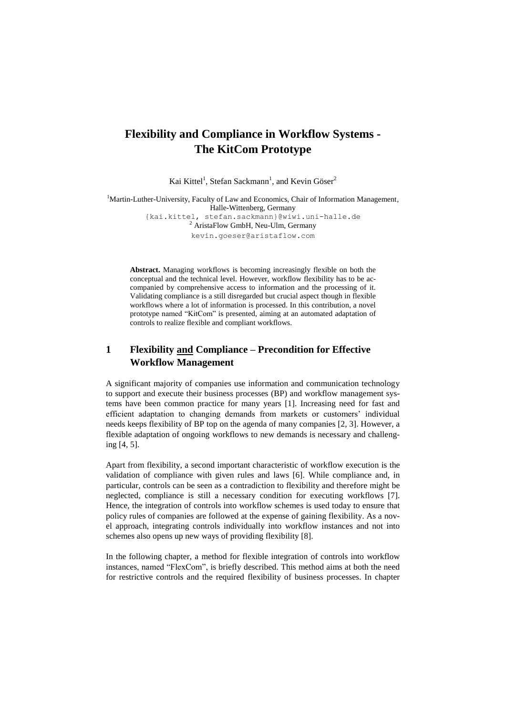# **Flexibility and Compliance in Workflow Systems - The KitCom Prototype**

Kai Kittel<sup>1</sup>, Stefan Sackmann<sup>1</sup>, and Kevin Göser<sup>2</sup>

<sup>1</sup>Martin-Luther-University, Faculty of Law and Economics, Chair of Information Management, Halle-Wittenberg, Germany {kai.kittel, stefan.sackmann}@wiwi.uni-halle.de <sup>2</sup> AristaFlow GmbH, Neu-Ulm, Germany kevin.goeser@aristaflow.com

**Abstract.** Managing workflows is becoming increasingly flexible on both the conceptual and the technical level. However, workflow flexibility has to be accompanied by comprehensive access to information and the processing of it. Validating compliance is a still disregarded but crucial aspect though in flexible workflows where a lot of information is processed. In this contribution, a novel prototype named "KitCom" is presented, aiming at an automated adaptation of controls to realize flexible and compliant workflows.

# **1 Flexibility and Compliance – Precondition for Effective Workflow Management**

A significant majority of companies use information and communication technology to support and execute their business processes (BP) and workflow management systems have been common practice for many years [\[1\]](#page-5-0). Increasing need for fast and efficient adaptation to changing demands from markets or customers' individual needs keeps flexibility of BP top on the agenda of many companies [\[2,](#page-5-1) [3\]](#page-5-2). However, a flexible adaptation of ongoing workflows to new demands is necessary and challenging [\[4,](#page-5-3) [5\]](#page-5-4).

Apart from flexibility, a second important characteristic of workflow execution is the validation of compliance with given rules and laws [\[6\]](#page-5-5). While compliance and, in particular, controls can be seen as a contradiction to flexibility and therefore might be neglected, compliance is still a necessary condition for executing workflows [\[7\]](#page-6-0). Hence, the integration of controls into workflow schemes is used today to ensure that policy rules of companies are followed at the expense of gaining flexibility. As a novel approach, integrating controls individually into workflow instances and not into schemes also opens up new ways of providing flexibility [\[8\]](#page-6-1).

In the following chapter, a method for flexible integration of controls into workflow instances, named "FlexCom", is briefly described. This method aims at both the need for restrictive controls and the required flexibility of business processes. In chapter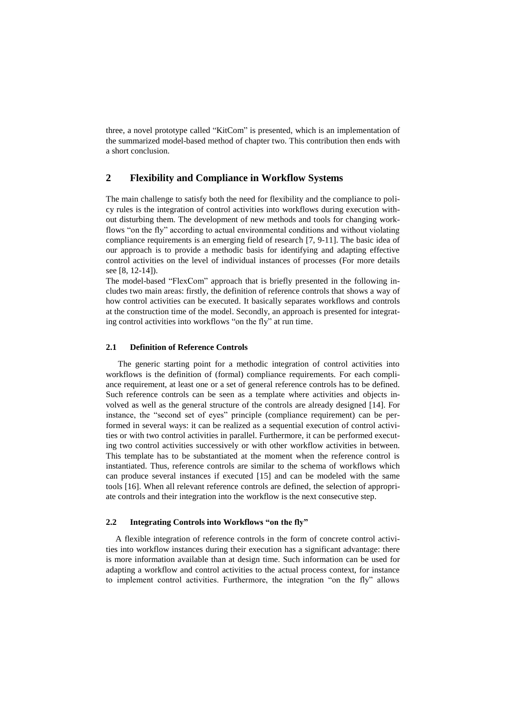three, a novel prototype called "KitCom" is presented, which is an implementation of the summarized model-based method of chapter two. This contribution then ends with a short conclusion.

## **2 Flexibility and Compliance in Workflow Systems**

The main challenge to satisfy both the need for flexibility and the compliance to policy rules is the integration of control activities into workflows during execution without disturbing them. The development of new methods and tools for changing workflows "on the fly" according to actual environmental conditions and without violating compliance requirements is an emerging field of research [\[7,](#page-6-0) [9-11\]](#page-6-2). The basic idea of our approach is to provide a methodic basis for identifying and adapting effective control activities on the level of individual instances of processes (For more details see [\[8,](#page-6-1) [12-14\]](#page-6-3)).

The model-based "FlexCom" approach that is briefly presented in the following includes two main areas: firstly, the definition of reference controls that shows a way of how control activities can be executed. It basically separates workflows and controls at the construction time of the model. Secondly, an approach is presented for integrating control activities into workflows "on the fly" at run time.

#### **2.1 Definition of Reference Controls**

The generic starting point for a methodic integration of control activities into workflows is the definition of (formal) compliance requirements. For each compliance requirement, at least one or a set of general reference controls has to be defined. Such reference controls can be seen as a template where activities and objects involved as well as the general structure of the controls are already designed [\[14\]](#page-6-4). For instance, the "second set of eyes" principle (compliance requirement) can be performed in several ways: it can be realized as a sequential execution of control activities or with two control activities in parallel. Furthermore, it can be performed executing two control activities successively or with other workflow activities in between. This template has to be substantiated at the moment when the reference control is instantiated. Thus, reference controls are similar to the schema of workflows which can produce several instances if executed [\[15\]](#page-6-5) and can be modeled with the same tools [\[16\]](#page-6-6). When all relevant reference controls are defined, the selection of appropriate controls and their integration into the workflow is the next consecutive step.

#### **2.2 Integrating Controls into Workflows "on the fly"**

A flexible integration of reference controls in the form of concrete control activities into workflow instances during their execution has a significant advantage: there is more information available than at design time. Such information can be used for adapting a workflow and control activities to the actual process context, for instance to implement control activities. Furthermore, the integration "on the fly" allows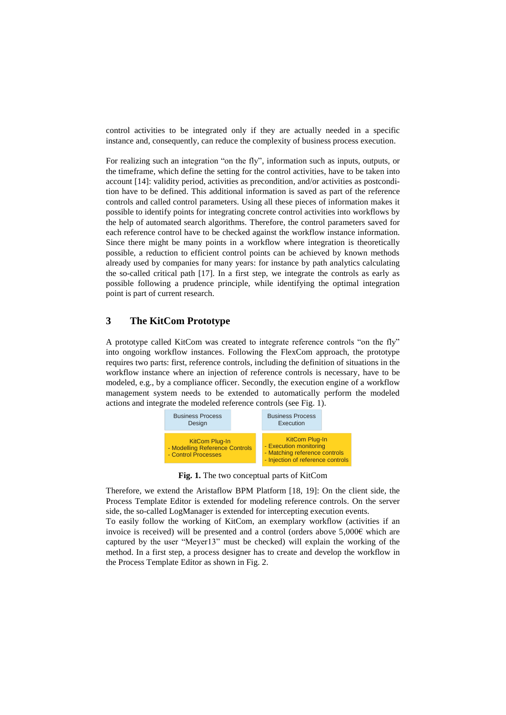control activities to be integrated only if they are actually needed in a specific instance and, consequently, can reduce the complexity of business process execution.

For realizing such an integration "on the fly", information such as inputs, outputs, or the timeframe, which define the setting for the control activities, have to be taken into account [\[14\]](#page-6-4): validity period, activities as precondition, and/or activities as postcondition have to be defined. This additional information is saved as part of the reference controls and called control parameters. Using all these pieces of information makes it possible to identify points for integrating concrete control activities into workflows by the help of automated search algorithms. Therefore, the control parameters saved for each reference control have to be checked against the workflow instance information. Since there might be many points in a workflow where integration is theoretically possible, a reduction to efficient control points can be achieved by known methods already used by companies for many years: for instance by path analytics calculating the so-called critical path [\[17\]](#page-6-7). In a first step, we integrate the controls as early as possible following a [prudence](http://dict.leo.org/ende?lp=ende&p=DOKJAA&search=prudence&trestr=0x8001) [principle,](http://dict.leo.org/ende?lp=ende&p=DOKJAA&search=principle&trestr=0x8001) while identifying the optimal integration point is part of current research.

# **3 The KitCom Prototype**

A prototype called KitCom was created to integrate reference controls "on the fly" into ongoing workflow instances. Following the FlexCom approach, the prototype requires two parts: first, reference controls, including the definition of situations in the workflow instance where an injection of reference controls is necessary, have to be modeled, e.g., by a compliance officer. Secondly, the execution engine of a workflow management system needs to be extended to automatically perform the modeled actions and integrate the modeled reference controls (see Fig. 1).



**Fig. 1.** The two conceptual parts of KitCom

Therefore, we extend the Aristaflow BPM Platform [\[18,](#page-6-8) [19\]](#page-6-9): On the client side, the Process Template Editor is extended for modeling reference controls. On the server side, the so-called LogManager is extended for intercepting execution events.

To easily follow the working of KitCom, an exemplary workflow (activities if an invoice is received) will be presented and a control (orders above 5,000€ which are captured by the user "Meyer13" must be checked) will explain the working of the method. In a first step, a process designer has to create and develop the workflow in the Process Template Editor as shown in Fig. 2.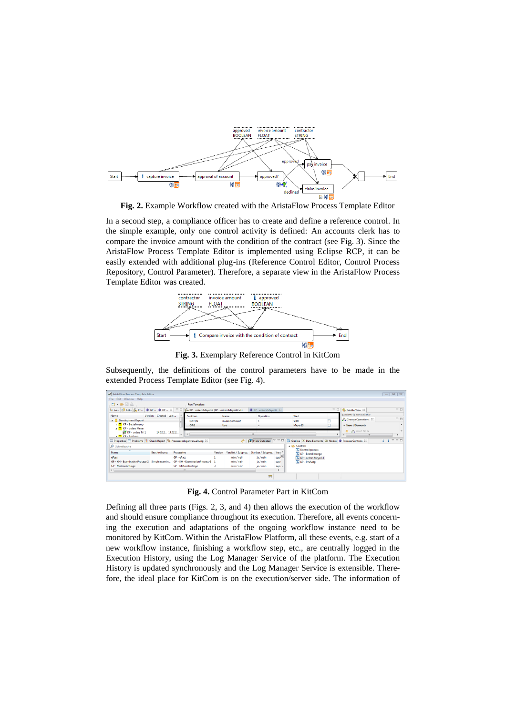

**Fig. 2.** Example Workflow created with the AristaFlow Process Template Editor

In a second step, a compliance officer has to create and define a reference control. In the simple example, only one control activity is defined: An accounts clerk has to compare the invoice amount with the condition of the contract (see Fig. 3). Since the AristaFlow Process Template Editor is implemented using Eclipse RCP, it can be easily extended with additional plug-ins (Reference Control Editor, Control Process Repository, Control Parameter). Therefore, a separate view in the AristaFlow Process Template Editor was created.



**Fig. 3.** Exemplary Reference Control in KitCom

Subsequently, the definitions of the control parameters have to be made in the extended Process Template Editor (see Fig. 4).

| AristaFlow Process Template Editor                                                                                                                              |                                                                                   |                                  |                      |                          |                     |                     |            |                                             |                                       |                            |  |               |
|-----------------------------------------------------------------------------------------------------------------------------------------------------------------|-----------------------------------------------------------------------------------|----------------------------------|----------------------|--------------------------|---------------------|---------------------|------------|---------------------------------------------|---------------------------------------|----------------------------|--|---------------|
| File Edit Window Help                                                                                                                                           |                                                                                   |                                  |                      |                          |                     |                     |            |                                             |                                       |                            |  |               |
| $\mathbf{C}^{\bullet} \cdot \mathbf{B} \boxplus \mathbf{B}$                                                                                                     |                                                                                   | <b>Run Template</b>              |                      |                          |                     |                     |            |                                             |                                       |                            |  |               |
| € Lo <b>El</b> Act <b>{</b> <sub>1</sub> Pr <b>● GP ● KP</b> 23 <del>■</del>                                                                                    | $ -$<br>20 KP - orders Meyer13 (KP - orders Meyer13 v1)<br>KP - orders Meyer13 23 |                                  |                      |                          |                     |                     |            |                                             | Palette View 23                       | 中日                         |  |               |
| Name                                                                                                                                                            | Version Created Last                                                              |                                  | <b>Funktion</b>      | Name                     | Operation           |                     |            | Wert                                        |                                       | A nalette is not available |  |               |
| <b>A</b> Development Reposit                                                                                                                                    | <b>DATEN</b><br>invoice amount                                                    |                                  |                      | $\overline{\phantom{a}}$ |                     |                     | 5000       | o                                           | Change Operations 23                  | $=$ $-$                    |  |               |
| <b>T</b> KP - Bestellmenge                                                                                                                                      | ORG<br>User                                                                       |                                  |                      | $=$                      |                     |                     | Meyer13    | п                                           | $\blacktriangleright$ Insert Elements |                            |  |               |
| a T KP - orders Meyer<br><b>EX KP - orders M 1</b>                                                                                                              | 14.02.2. 14.02.2.                                                                 |                                  |                      |                          |                     |                     |            |                                             |                                       | <b>A P</b> Insert Node     |  |               |
| . T VD . Drittimon                                                                                                                                              |                                                                                   | $\epsilon$<br>m                  |                      |                          |                     |                     |            |                                             |                                       | $-221$                     |  |               |
| $\sim -1$<br>8 Hide Outdated<br>Properties   Problems   Check Report   Prozessvorlagenverwaltung 23<br><b>BE Outline De Data Elements (B) Nodes Controls 23</b> |                                                                                   |                                  |                      |                          |                     |                     |            |                                             |                                       |                            |  | $\sim$ $\Box$ |
| ▲ Controls<br>Schnellsuche                                                                                                                                      |                                                                                   |                                  |                      |                          |                     |                     |            |                                             |                                       |                            |  |               |
| Name                                                                                                                                                            | <b>Beschreibung</b>                                                               | Prozesstvo                       | Version              |                          | Veraltet / Subproz. | Startbar / Subproz. | Vera -     | <b>Kontrollprozess</b><br>KP - Bestellmenge |                                       |                            |  |               |
| ePass                                                                                                                                                           | $GP - ePass$                                                                      |                                  |                      |                          | nein / nein         | ja / nein           |            | sup-                                        | KP - orders Meyer13                   |                            |  |               |
| GP - KH - ExaminationProcess-2 Simple examin                                                                                                                    |                                                                                   | GP - KH - ExaminationProcess-2 1 |                      |                          | nein / nein         | ia / nein           | <b>SUD</b> | <b>EX KP - Prüfung</b>                      |                                       |                            |  |               |
| GP - Materialanfrage                                                                                                                                            |                                                                                   |                                  | GP - Materialanfrage |                          | nein / nein         | ja / nein           |            | $SUDL =$                                    |                                       |                            |  |               |
| m                                                                                                                                                               |                                                                                   |                                  |                      |                          |                     |                     |            |                                             |                                       |                            |  |               |
| YP.                                                                                                                                                             |                                                                                   |                                  |                      |                          |                     |                     |            |                                             |                                       |                            |  |               |

**Fig. 4.** Control Parameter Part in KitCom

Defining all three parts (Figs. 2, 3, and 4) then allows the execution of the workflow and should ensure compliance throughout its execution. Therefore, all events concerning the execution and adaptations of the ongoing workflow instance need to be monitored by KitCom. Within the AristaFlow Platform, all these events, e.g. start of a new workflow instance, finishing a workflow step, etc., are centrally logged in the Execution History, using the Log Manager Service of the platform. The Execution History is updated synchronously and the Log Manager Service is extensible. Therefore, the ideal place for KitCom is on the execution/server side. The information of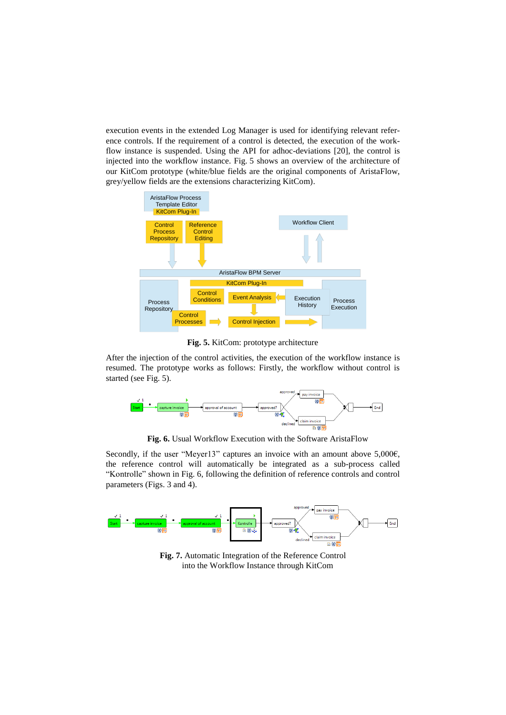execution events in the extended Log Manager is used for identifying relevant reference controls. If the requirement of a control is detected, the execution of the workflow instance is suspended. Using the API for adhoc-deviations [\[20\]](#page-6-10), the control is injected into the workflow instance. Fig. 5 shows an overview of the architecture of our KitCom prototype (white/blue fields are the original components of AristaFlow, grey/yellow fields are the extensions characterizing KitCom).



**Fig. 5.** KitCom: prototype architecture

After the injection of the control activities, the execution of the workflow instance is resumed. The prototype works as follows: Firstly, the workflow without control is started (see Fig. 5).



**Fig. 6.** Usual Workflow Execution with the Software AristaFlow

Secondly, if the user "Meyer13" captures an invoice with an amount above 5,000€, the reference control will automatically be integrated as a sub-process called "Kontrolle" shown in Fig. 6, following the definition of reference controls and control parameters (Figs. 3 and 4).



**Fig. 7.** Automatic Integration of the Reference Control into the Workflow Instance through KitCom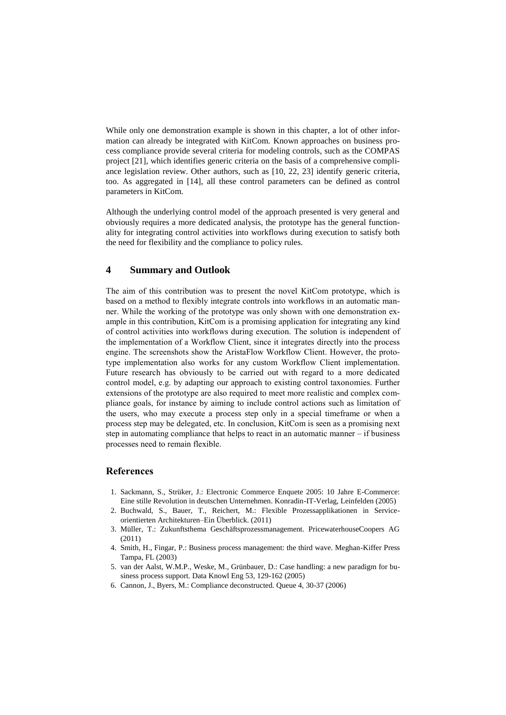While only one demonstration example is shown in this chapter, a lot of other information can already be integrated with KitCom. Known approaches on business process compliance provide several criteria for modeling controls, such as the COMPAS project [\[21\]](#page-6-11), which identifies generic criteria on the basis of a comprehensive compliance legislation review. Other authors, such as [\[10,](#page-6-12) [22,](#page-6-13) [23\]](#page-6-14) identify generic criteria, too. As aggregated in [\[14\]](#page-6-4), all these control parameters can be defined as control parameters in KitCom.

Although the underlying control model of the approach presented is very general and obviously requires a more dedicated analysis, the prototype has the general functionality for integrating control activities into workflows during execution to satisfy both the need for flexibility and the compliance to policy rules.

### **4 Summary and Outlook**

The aim of this contribution was to present the novel KitCom prototype, which is based on a method to flexibly integrate controls into workflows in an automatic manner. While the working of the prototype was only shown with one demonstration example in this contribution, KitCom is a promising application for integrating any kind of control activities into workflows during execution. The solution is independent of the implementation of a Workflow Client, since it integrates directly into the process engine. The screenshots show the AristaFlow Workflow Client. However, the prototype implementation also works for any custom Workflow Client implementation. Future research has obviously to be carried out with regard to a more dedicated control model, e.g. by adapting our approach to existing control taxonomies. Further extensions of the prototype are also required to meet more realistic and complex compliance goals, for instance by aiming to include control actions such as limitation of the users, who may execute a process step only in a special timeframe or when a process step may be delegated, etc. In conclusion, KitCom is seen as a promising next step in automating compliance that helps to react in an automatic manner – if business processes need to remain flexible.

### **References**

- <span id="page-5-0"></span>1. Sackmann, S., Strüker, J.: Electronic Commerce Enquete 2005: 10 Jahre E-Commerce: Eine stille Revolution in deutschen Unternehmen. Konradin-IT-Verlag, Leinfelden (2005)
- <span id="page-5-1"></span>2. Buchwald, S., Bauer, T., Reichert, M.: Flexible Prozessapplikationen in Serviceorientierten Architekturen–Ein Überblick. (2011)
- <span id="page-5-2"></span>3. Müller, T.: Zukunftsthema Geschäftsprozessmanagement. PricewaterhouseCoopers AG (2011)
- <span id="page-5-3"></span>4. Smith, H., Fingar, P.: Business process management: the third wave. Meghan-Kiffer Press Tampa, FL (2003)
- <span id="page-5-4"></span>5. van der Aalst, W.M.P., Weske, M., Grünbauer, D.: Case handling: a new paradigm for business process support. Data Knowl Eng 53, 129-162 (2005)
- <span id="page-5-5"></span>6. Cannon, J., Byers, M.: Compliance deconstructed. Queue 4, 30-37 (2006)